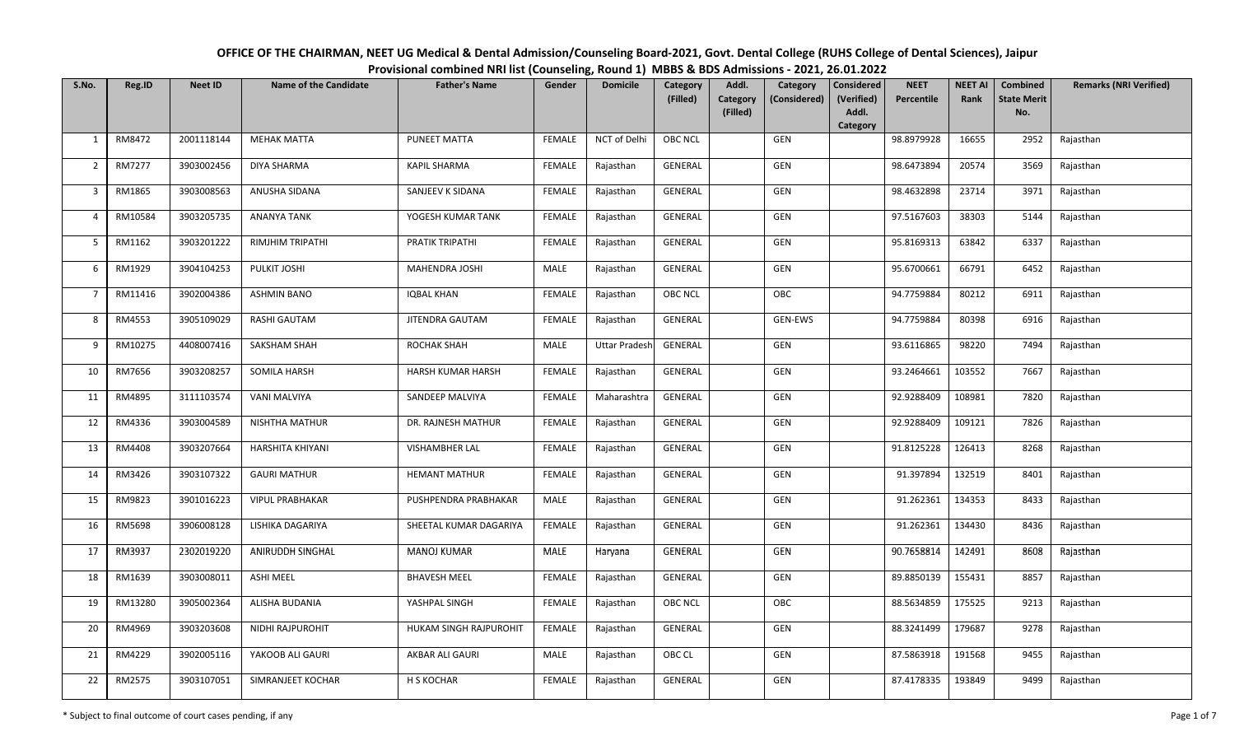| OFFICE OF THE CHAIRMAN, NEET UG Medical & Dental Admission/Counseling Board-2021, Govt. Dental College (RUHS College of Dental Sciences), Jaipur |
|--------------------------------------------------------------------------------------------------------------------------------------------------|
| Provisional combined NRI list (Counseling, Round 1) MBBS & BDS Admissions - 2021, 26.01.2022                                                     |

| S.No.          | Reg.ID  | <b>Neet ID</b> | <b>Name of the Candidate</b> | <b>Father's Name</b>   | Gender        | <b>Domicile</b>      | Category       | Addl.<br>Category                    | Considered          | <b>NEET</b> | <b>NEET AI</b> | <b>Combined</b>           | <b>Remarks (NRI Verified)</b> |
|----------------|---------|----------------|------------------------------|------------------------|---------------|----------------------|----------------|--------------------------------------|---------------------|-------------|----------------|---------------------------|-------------------------------|
|                |         |                |                              |                        |               |                      | (Filled)       | Category<br>(Considered)<br>(Filled) | (Verified)<br>Addl. | Percentile  | Rank           | <b>State Merit</b><br>No. |                               |
|                |         |                |                              |                        |               |                      |                |                                      | Category            |             |                |                           |                               |
| 1              | RM8472  | 2001118144     | <b>MEHAK MATTA</b>           | PUNEET MATTA           | <b>FEMALE</b> | NCT of Delhi         | <b>OBC NCL</b> | GEN                                  |                     | 98.8979928  | 16655          | 2952                      | Rajasthan                     |
| $\overline{2}$ | RM7277  | 3903002456     | <b>DIYA SHARMA</b>           | <b>KAPIL SHARMA</b>    | <b>FEMALE</b> | Rajasthan            | GENERAL        | GEN                                  |                     | 98.6473894  | 20574          | 3569                      | Rajasthan                     |
| $\overline{3}$ | RM1865  | 3903008563     | ANUSHA SIDANA                | SANJEEV K SIDANA       | <b>FEMALE</b> | Rajasthan            | GENERAL        | GEN                                  |                     | 98.4632898  | 23714          | 3971                      | Rajasthan                     |
| 4              | RM10584 | 3903205735     | ANANYA TANK                  | YOGESH KUMAR TANK      | FEMALE        | Rajasthan            | GENERAL        | GEN                                  |                     | 97.5167603  | 38303          | 5144                      | Rajasthan                     |
| 5              | RM1162  | 3903201222     | RIMJHIM TRIPATHI             | PRATIK TRIPATHI        | FEMALE        | Rajasthan            | GENERAL        | GEN                                  |                     | 95.8169313  | 63842          | 6337                      | Rajasthan                     |
| 6              | RM1929  | 3904104253     | PULKIT JOSHI                 | MAHENDRA JOSHI         | MALE          | Rajasthan            | GENERAL        | GEN                                  |                     | 95.6700661  | 66791          | 6452                      | Rajasthan                     |
| $\overline{7}$ | RM11416 | 3902004386     | <b>ASHMIN BANO</b>           | <b>IQBAL KHAN</b>      | <b>FEMALE</b> | Rajasthan            | <b>OBC NCL</b> | OBC                                  |                     | 94.7759884  | 80212          | 6911                      | Rajasthan                     |
| 8              | RM4553  | 3905109029     | RASHI GAUTAM                 | JITENDRA GAUTAM        | <b>FEMALE</b> | Rajasthan            | GENERAL        | GEN-EWS                              |                     | 94.7759884  | 80398          | 6916                      | Rajasthan                     |
| 9              | RM10275 | 4408007416     | SAKSHAM SHAH                 | ROCHAK SHAH            | MALE          | <b>Uttar Pradesh</b> | GENERAL        | GEN                                  |                     | 93.6116865  | 98220          | 7494                      | Rajasthan                     |
| 10             | RM7656  | 3903208257     | SOMILA HARSH                 | HARSH KUMAR HARSH      | <b>FEMALE</b> | Rajasthan            | GENERAL        | GEN                                  |                     | 93.2464661  | 103552         | 7667                      | Rajasthan                     |
| 11             | RM4895  | 3111103574     | <b>VANI MALVIYA</b>          | SANDEEP MALVIYA        | <b>FEMALE</b> | Maharashtra          | GENERAL        | GEN                                  |                     | 92.9288409  | 108981         | 7820                      | Rajasthan                     |
| 12             | RM4336  | 3903004589     | <b>NISHTHA MATHUR</b>        | DR. RAJNESH MATHUR     | FEMALE        | Rajasthan            | GENERAL        | GEN                                  |                     | 92.9288409  | 109121         | 7826                      | Rajasthan                     |
| 13             | RM4408  | 3903207664     | <b>HARSHITA KHIYANI</b>      | <b>VISHAMBHER LAL</b>  | <b>FEMALE</b> | Rajasthan            | GENERAL        | GEN                                  |                     | 91.8125228  | 126413         | 8268                      | Rajasthan                     |
| 14             | RM3426  | 3903107322     | <b>GAURI MATHUR</b>          | <b>HEMANT MATHUR</b>   | FEMALE        | Rajasthan            | GENERAL        | GEN                                  |                     | 91.397894   | 132519         | 8401                      | Rajasthan                     |
| 15             | RM9823  | 3901016223     | <b>VIPUL PRABHAKAR</b>       | PUSHPENDRA PRABHAKAR   | MALE          | Rajasthan            | GENERAL        | <b>GEN</b>                           |                     | 91.262361   | 134353         | 8433                      | Rajasthan                     |
| 16             | RM5698  | 3906008128     | LISHIKA DAGARIYA             | SHEETAL KUMAR DAGARIYA | FEMALE        | Rajasthan            | GENERAL        | GEN                                  |                     | 91.262361   | 134430         | 8436                      | Rajasthan                     |
| 17             | RM3937  | 2302019220     | ANIRUDDH SINGHAL             | <b>MANOJ KUMAR</b>     | MALE          | Haryana              | GENERAL        | GEN                                  |                     | 90.7658814  | 142491         | 8608                      | Rajasthan                     |
| 18             | RM1639  | 3903008011     | ASHI MEEL                    | <b>BHAVESH MEEL</b>    | FEMALE        | Rajasthan            | GENERAL        | GEN                                  |                     | 89.8850139  | 155431         | 8857                      | Rajasthan                     |
| 19             | RM13280 | 3905002364     | ALISHA BUDANIA               | YASHPAL SINGH          | <b>FEMALE</b> | Rajasthan            | <b>OBC NCL</b> | OBC                                  |                     | 88.5634859  | 175525         | 9213                      | Rajasthan                     |
| 20             | RM4969  | 3903203608     | NIDHI RAJPUROHIT             | HUKAM SINGH RAJPUROHIT | FEMALE        | Rajasthan            | GENERAL        | GEN                                  |                     | 88.3241499  | 179687         | 9278                      | Rajasthan                     |
| 21             | RM4229  | 3902005116     | YAKOOB ALI GAURI             | AKBAR ALI GAURI        | MALE          | Rajasthan            | OBC CL         | GEN                                  |                     | 87.5863918  | 191568         | 9455                      | Rajasthan                     |
| 22             | RM2575  | 3903107051     | SIMRANJEET KOCHAR            | H S KOCHAR             | <b>FEMALE</b> | Rajasthan            | GENERAL        | GEN                                  |                     | 87.4178335  | 193849         | 9499                      | Rajasthan                     |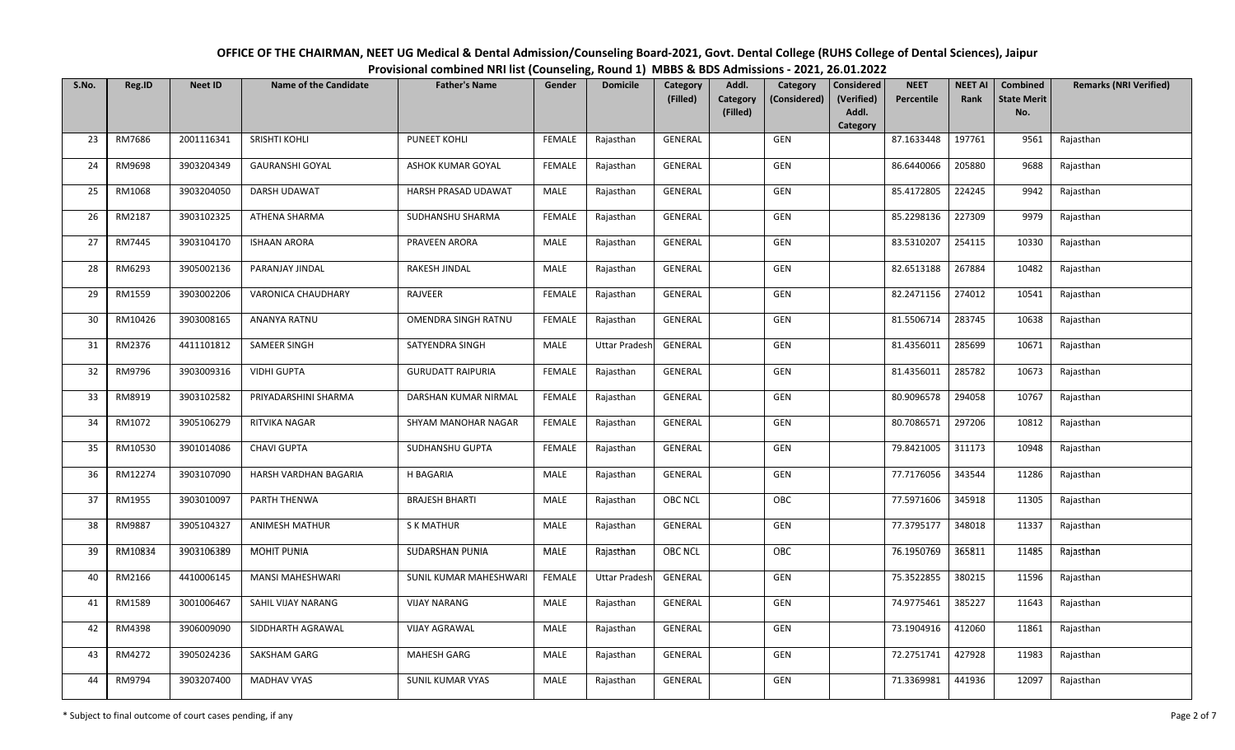| OFFICE OF THE CHAIRMAN, NEET UG Medical & Dental Admission/Counseling Board-2021, Govt. Dental College (RUHS College of Dental Sciences), Jaipur |
|--------------------------------------------------------------------------------------------------------------------------------------------------|
| Provisional combined NRI list (Counseling, Round 1) MBBS & BDS Admissions - 2021, 26.01.2022                                                     |

| S.No. | Reg.ID  | <b>Neet ID</b> | <b>Name of the Candidate</b> | <b>Father's Name</b>       | Gender        | <b>Domicile</b>      | Category       | Addl.<br>Category                    | Considered          | <b>NEET</b> | <b>NEET AI</b> | <b>Combined</b>           | <b>Remarks (NRI Verified)</b> |
|-------|---------|----------------|------------------------------|----------------------------|---------------|----------------------|----------------|--------------------------------------|---------------------|-------------|----------------|---------------------------|-------------------------------|
|       |         |                |                              |                            |               |                      | (Filled)       | Category<br>(Considered)<br>(Filled) | (Verified)<br>Addl. | Percentile  | Rank           | <b>State Merit</b><br>No. |                               |
|       |         |                |                              |                            |               |                      |                |                                      | Category            |             |                |                           |                               |
| 23    | RM7686  | 2001116341     | SRISHTI KOHLI                | PUNEET KOHLI               | <b>FEMALE</b> | Rajasthan            | GENERAL        | GEN                                  |                     | 87.1633448  | 197761         | 9561                      | Rajasthan                     |
| 24    | RM9698  | 3903204349     | <b>GAURANSHI GOYAL</b>       | ASHOK KUMAR GOYAL          | <b>FEMALE</b> | Rajasthan            | GENERAL        | GEN                                  |                     | 86.6440066  | 205880         | 9688                      | Rajasthan                     |
| 25    | RM1068  | 3903204050     | DARSH UDAWAT                 | HARSH PRASAD UDAWAT        | MALE          | Rajasthan            | GENERAL        | GEN                                  |                     | 85.4172805  | 224245         | 9942                      | Rajasthan                     |
| 26    | RM2187  | 3903102325     | ATHENA SHARMA                | SUDHANSHU SHARMA           | <b>FEMALE</b> | Rajasthan            | GENERAL        | GEN                                  |                     | 85.2298136  | 227309         | 9979                      | Rajasthan                     |
| 27    | RM7445  | 3903104170     | <b>ISHAAN ARORA</b>          | PRAVEEN ARORA              | MALE          | Rajasthan            | GENERAL        | GEN                                  |                     | 83.5310207  | 254115         | 10330                     | Rajasthan                     |
| 28    | RM6293  | 3905002136     | PARANJAY JINDAL              | RAKESH JINDAL              | <b>MALE</b>   | Rajasthan            | GENERAL        | GEN                                  |                     | 82.6513188  | 267884         | 10482                     | Rajasthan                     |
| 29    | RM1559  | 3903002206     | VARONICA CHAUDHARY           | RAJVEER                    | <b>FEMALE</b> | Rajasthan            | GENERAL        | GEN                                  |                     | 82.2471156  | 274012         | 10541                     | Rajasthan                     |
| 30    | RM10426 | 3903008165     | <b>ANANYA RATNU</b>          | <b>OMENDRA SINGH RATNU</b> | <b>FEMALE</b> | Rajasthan            | GENERAL        | GEN                                  |                     | 81.5506714  | 283745         | 10638                     | Rajasthan                     |
| 31    | RM2376  | 4411101812     | SAMEER SINGH                 | SATYENDRA SINGH            | <b>MALE</b>   | <b>Uttar Pradesh</b> | GENERAL        | GEN                                  |                     | 81.4356011  | 285699         | 10671                     | Rajasthan                     |
| 32    | RM9796  | 3903009316     | <b>VIDHI GUPTA</b>           | <b>GURUDATT RAIPURIA</b>   | <b>FEMALE</b> | Rajasthan            | GENERAL        | GEN                                  |                     | 81.4356011  | 285782         | 10673                     | Rajasthan                     |
| 33    | RM8919  | 3903102582     | PRIYADARSHINI SHARMA         | DARSHAN KUMAR NIRMAL       | <b>FEMALE</b> | Rajasthan            | GENERAL        | GEN                                  |                     | 80.9096578  | 294058         | 10767                     | Rajasthan                     |
| 34    | RM1072  | 3905106279     | RITVIKA NAGAR                | SHYAM MANOHAR NAGAR        | FEMALE        | Rajasthan            | GENERAL        | GEN                                  |                     | 80.7086571  | 297206         | 10812                     | Rajasthan                     |
| 35    | RM10530 | 3901014086     | <b>CHAVI GUPTA</b>           | SUDHANSHU GUPTA            | <b>FEMALE</b> | Rajasthan            | GENERAL        | GEN                                  |                     | 79.8421005  | 311173         | 10948                     | Rajasthan                     |
| 36    | RM12274 | 3903107090     | HARSH VARDHAN BAGARIA        | H BAGARIA                  | MALE          | Rajasthan            | GENERAL        | GEN                                  |                     | 77.7176056  | 343544         | 11286                     | Rajasthan                     |
| 37    | RM1955  | 3903010097     | PARTH THENWA                 | <b>BRAJESH BHARTI</b>      | MALE          | Rajasthan            | <b>OBC NCL</b> | OBC                                  |                     | 77.5971606  | 345918         | 11305                     | Rajasthan                     |
| 38    | RM9887  | 3905104327     | <b>ANIMESH MATHUR</b>        | <b>S K MATHUR</b>          | MALE          | Rajasthan            | GENERAL        | GEN                                  |                     | 77.3795177  | 348018         | 11337                     | Rajasthan                     |
| 39    | RM10834 | 3903106389     | <b>MOHIT PUNIA</b>           | SUDARSHAN PUNIA            | MALE          | Rajasthan            | <b>OBC NCL</b> | OBC                                  |                     | 76.1950769  | 365811         | 11485                     | Rajasthan                     |
| 40    | RM2166  | 4410006145     | MANSI MAHESHWARI             | SUNIL KUMAR MAHESHWARI     | FEMALE        | <b>Uttar Pradesh</b> | GENERAL        | GEN                                  |                     | 75.3522855  | 380215         | 11596                     | Rajasthan                     |
| 41    | RM1589  | 3001006467     | SAHIL VIJAY NARANG           | <b>VIJAY NARANG</b>        | <b>MALE</b>   | Rajasthan            | GENERAL        | GEN                                  |                     | 74.9775461  | 385227         | 11643                     | Rajasthan                     |
| 42    | RM4398  | 3906009090     | SIDDHARTH AGRAWAL            | <b>VIJAY AGRAWAL</b>       | MALE          | Rajasthan            | GENERAL        | GEN                                  |                     | 73.1904916  | 412060         | 11861                     | Rajasthan                     |
| 43    | RM4272  | 3905024236     | SAKSHAM GARG                 | MAHESH GARG                | MALE          | Rajasthan            | <b>GENERAL</b> | GEN                                  |                     | 72.2751741  | 427928         | 11983                     | Rajasthan                     |
| 44    | RM9794  | 3903207400     | <b>MADHAV VYAS</b>           | <b>SUNIL KUMAR VYAS</b>    | MALE          | Rajasthan            | GENERAL        | GEN                                  |                     | 71.3369981  | 441936         | 12097                     | Rajasthan                     |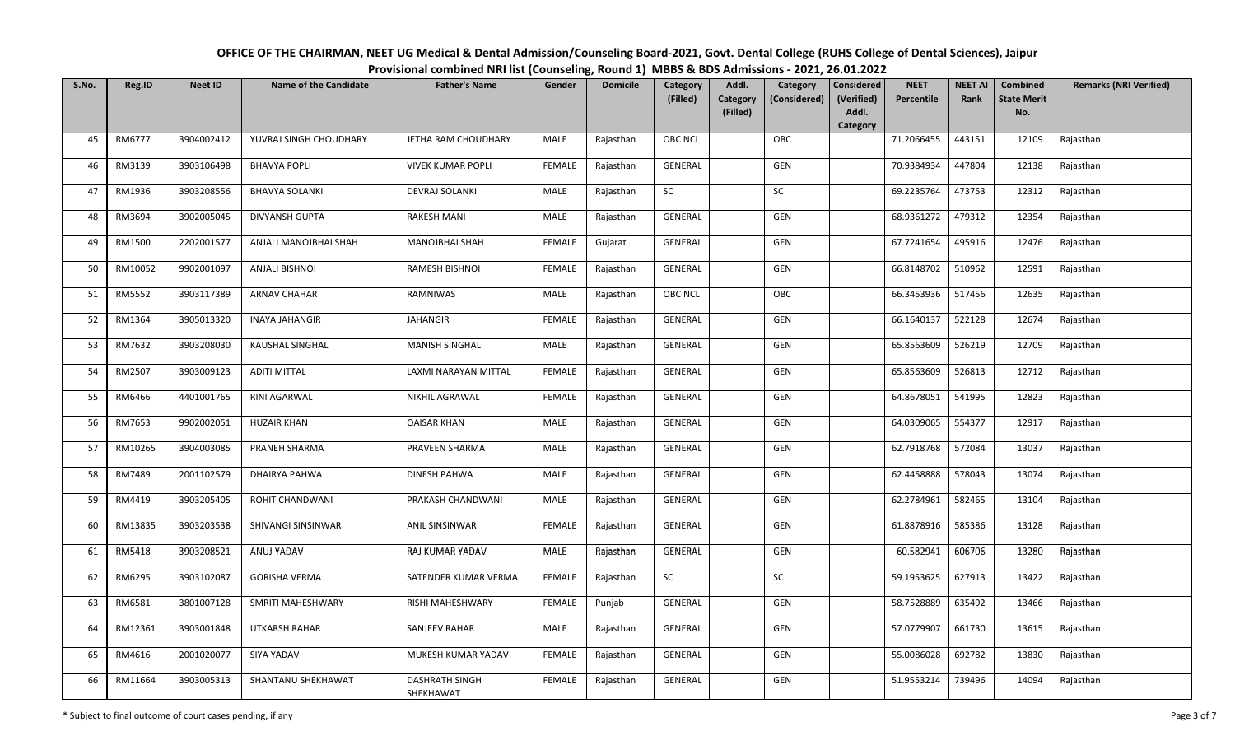| OFFICE OF THE CHAIRMAN, NEET UG Medical & Dental Admission/Counseling Board-2021, Govt. Dental College (RUHS College of Dental Sciences), Jaipur |
|--------------------------------------------------------------------------------------------------------------------------------------------------|
| Provisional combined NRI list (Counseling, Round 1) MBBS & BDS Admissions - 2021, 26.01.2022                                                     |

| S.No. | Reg.ID  | <b>Neet ID</b> | <b>Name of the Candidate</b> | <b>Father's Name</b>               | Gender        | <b>Domicile</b> | Category<br>(Filled) | Addl.<br>Category                    | <b>Considered</b>   | <b>NEET</b> | <b>NEET AI</b><br>Rank | <b>Combined</b>           | <b>Remarks (NRI Verified)</b> |
|-------|---------|----------------|------------------------------|------------------------------------|---------------|-----------------|----------------------|--------------------------------------|---------------------|-------------|------------------------|---------------------------|-------------------------------|
|       |         |                |                              |                                    |               |                 |                      | Category<br>(Considered)<br>(Filled) | (Verified)<br>Addl. | Percentile  |                        | <b>State Merit</b><br>No. |                               |
| 45    | RM6777  | 3904002412     | YUVRAJ SINGH CHOUDHARY       | JETHA RAM CHOUDHARY                | MALE          | Rajasthan       | <b>OBC NCL</b>       | OBC                                  | Category            | 71.2066455  | 443151                 | 12109                     | Rajasthan                     |
|       |         |                |                              |                                    |               |                 |                      |                                      |                     |             |                        |                           |                               |
| 46    | RM3139  | 3903106498     | <b>BHAVYA POPLI</b>          | <b>VIVEK KUMAR POPLI</b>           | <b>FEMALE</b> | Rajasthan       | GENERAL              | GEN                                  |                     | 70.9384934  | 447804                 | 12138                     | Rajasthan                     |
| 47    | RM1936  | 3903208556     | <b>BHAVYA SOLANKI</b>        | DEVRAJ SOLANKI                     | MALE          | Rajasthan       | <b>SC</b>            | <b>SC</b>                            |                     | 69.2235764  | 473753                 | 12312                     | Rajasthan                     |
| 48    | RM3694  | 3902005045     | <b>DIVYANSH GUPTA</b>        | <b>RAKESH MANI</b>                 | MALE          | Rajasthan       | GENERAL              | GEN                                  |                     | 68.9361272  | 479312                 | 12354                     | Rajasthan                     |
| 49    | RM1500  | 2202001577     | ANJALI MANOJBHAI SHAH        | <b>MANOJBHAI SHAH</b>              | <b>FEMALE</b> | Gujarat         | GENERAL              | GEN                                  |                     | 67.7241654  | 495916                 | 12476                     | Rajasthan                     |
| 50    | RM10052 | 9902001097     | <b>ANJALI BISHNOI</b>        | RAMESH BISHNOI                     | FEMALE        | Rajasthan       | GENERAL              | GEN                                  |                     | 66.8148702  | 510962                 | 12591                     | Rajasthan                     |
| 51    | RM5552  | 3903117389     | <b>ARNAV CHAHAR</b>          | <b>RAMNIWAS</b>                    | MALE          | Rajasthan       | OBC NCL              | OBC                                  |                     | 66.3453936  | 517456                 | 12635                     | Rajasthan                     |
| 52    | RM1364  | 3905013320     | <b>INAYA JAHANGIR</b>        | <b>JAHANGIR</b>                    | <b>FEMALE</b> | Rajasthan       | <b>GENERAL</b>       | GEN                                  |                     | 66.1640137  | 522128                 | 12674                     | Rajasthan                     |
| 53    | RM7632  | 3903208030     | <b>KAUSHAL SINGHAL</b>       | <b>MANISH SINGHAL</b>              | MALE          | Rajasthan       | GENERAL              | GEN                                  |                     | 65.8563609  | 526219                 | 12709                     | Rajasthan                     |
| 54    | RM2507  | 3903009123     | <b>ADITI MITTAL</b>          | LAXMI NARAYAN MITTAL               | <b>FEMALE</b> | Rajasthan       | GENERAL              | GEN                                  |                     | 65.8563609  | 526813                 | 12712                     | Rajasthan                     |
| 55    | RM6466  | 4401001765     | <b>RINI AGARWAL</b>          | NIKHIL AGRAWAL                     | <b>FEMALE</b> | Rajasthan       | <b>GENERAL</b>       | GEN                                  |                     | 64.8678051  | 541995                 | 12823                     | Rajasthan                     |
| 56    | RM7653  | 9902002051     | <b>HUZAIR KHAN</b>           | <b>QAISAR KHAN</b>                 | <b>MALE</b>   | Rajasthan       | GENERAL              | GEN                                  |                     | 64.0309065  | 554377                 | 12917                     | Rajasthan                     |
| 57    | RM10265 | 3904003085     | PRANEH SHARMA                | PRAVEEN SHARMA                     | MALE          | Rajasthan       | GENERAL              | GEN                                  |                     | 62.7918768  | 572084                 | 13037                     | Rajasthan                     |
| 58    | RM7489  | 2001102579     | DHAIRYA PAHWA                | <b>DINESH PAHWA</b>                | MALE          | Rajasthan       | GENERAL              | GEN                                  |                     | 62.4458888  | 578043                 | 13074                     | Rajasthan                     |
| 59    | RM4419  | 3903205405     | ROHIT CHANDWANI              | PRAKASH CHANDWANI                  | MALE          | Rajasthan       | GENERAL              | GEN                                  |                     | 62.2784961  | 582465                 | 13104                     | Rajasthan                     |
| 60    | RM13835 | 3903203538     | SHIVANGI SINSINWAR           | ANIL SINSINWAR                     | <b>FEMALE</b> | Rajasthan       | GENERAL              | GEN                                  |                     | 61.8878916  | 585386                 | 13128                     | Rajasthan                     |
| 61    | RM5418  | 3903208521     | ANUJ YADAV                   | RAJ KUMAR YADAV                    | MALE          | Rajasthan       | GENERAL              | GEN                                  |                     | 60.582941   | 606706                 | 13280                     | Rajasthan                     |
| 62    | RM6295  | 3903102087     | <b>GORISHA VERMA</b>         | SATENDER KUMAR VERMA               | <b>FEMALE</b> | Rajasthan       | SC                   | SC                                   |                     | 59.1953625  | 627913                 | 13422                     | Rajasthan                     |
| 63    | RM6581  | 3801007128     | SMRITI MAHESHWARY            | RISHI MAHESHWARY                   | <b>FEMALE</b> | Punjab          | GENERAL              | GEN                                  |                     | 58.7528889  | 635492                 | 13466                     | Rajasthan                     |
| 64    | RM12361 | 3903001848     | <b>UTKARSH RAHAR</b>         | <b>SANJEEV RAHAR</b>               | MALE          | Rajasthan       | GENERAL              | GEN                                  |                     | 57.0779907  | 661730                 | 13615                     | Rajasthan                     |
| 65    | RM4616  | 2001020077     | SIYA YADAV                   | MUKESH KUMAR YADAV                 | FEMALE        | Rajasthan       | GENERAL              | GEN                                  |                     | 55.0086028  | 692782                 | 13830                     | Rajasthan                     |
| 66    | RM11664 | 3903005313     | SHANTANU SHEKHAWAT           | <b>DASHRATH SINGH</b><br>SHEKHAWAT | <b>FEMALE</b> | Rajasthan       | GENERAL              | GEN                                  |                     | 51.9553214  | 739496                 | 14094                     | Rajasthan                     |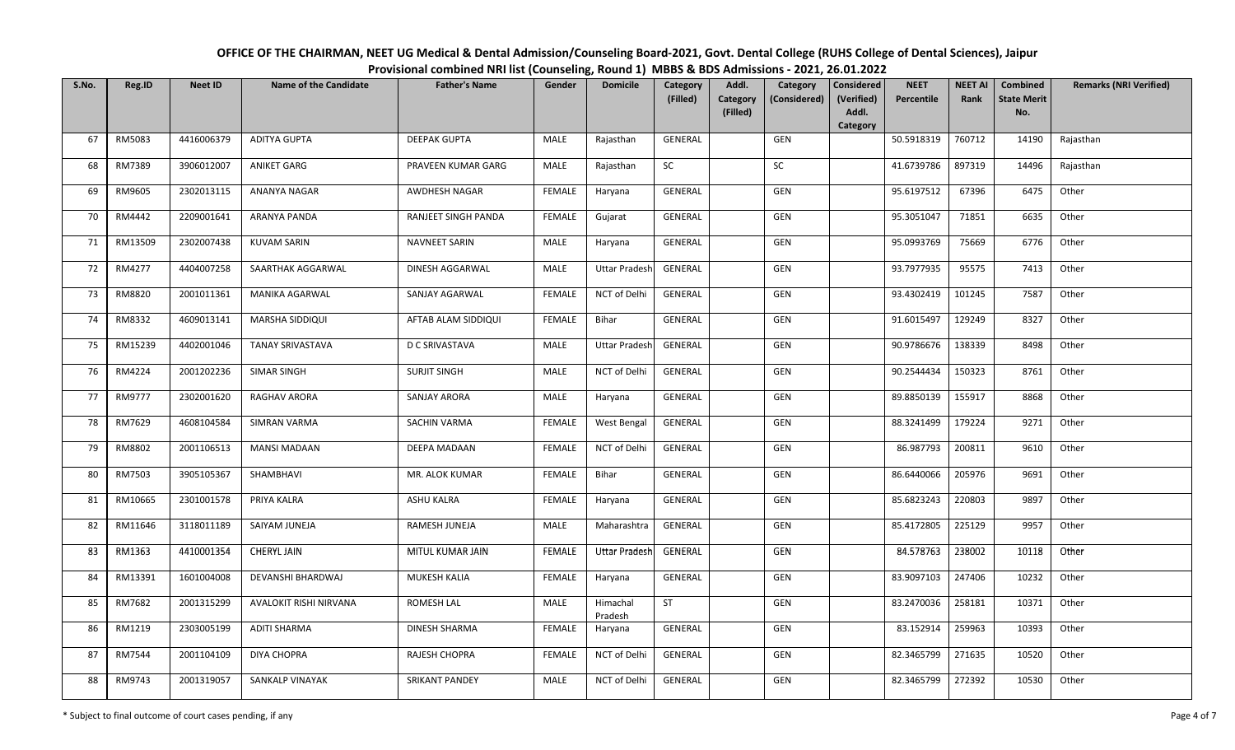| OFFICE OF THE CHAIRMAN, NEET UG Medical & Dental Admission/Counseling Board-2021, Govt. Dental College (RUHS College of Dental Sciences), Jaipur |
|--------------------------------------------------------------------------------------------------------------------------------------------------|
| Provisional combined NRI list (Counseling, Round 1) MBBS & BDS Admissions - 2021, 26.01.2022                                                     |

| S.No. | Reg.ID  | <b>Neet ID</b> | <b>Name of the Candidate</b> | <b>Father's Name</b>  | Gender        | <b>Domicile</b>      | Category<br>(Filled) | Addl.<br>Category<br>Category<br>(Considered)<br>(Filled) | Considered<br>(Verified)<br>Addl. | <b>NEET</b><br>Percentile | <b>NEET AI</b><br>Rank | Combined<br><b>State Merit</b><br>No. | <b>Remarks (NRI Verified)</b> |
|-------|---------|----------------|------------------------------|-----------------------|---------------|----------------------|----------------------|-----------------------------------------------------------|-----------------------------------|---------------------------|------------------------|---------------------------------------|-------------------------------|
|       |         |                |                              |                       |               |                      |                      |                                                           | Category                          |                           |                        |                                       |                               |
| 67    | RM5083  | 4416006379     | <b>ADITYA GUPTA</b>          | <b>DEEPAK GUPTA</b>   | MALE          | Rajasthan            | GENERAL              | GEN                                                       |                                   | 50.5918319                | 760712                 | 14190                                 | Rajasthan                     |
| 68    | RM7389  | 3906012007     | ANIKET GARG                  | PRAVEEN KUMAR GARG    | MALE          | Rajasthan            | <b>SC</b>            | <b>SC</b>                                                 |                                   | 41.6739786                | 897319                 | 14496                                 | Rajasthan                     |
| 69    | RM9605  | 2302013115     | ANANYA NAGAR                 | AWDHESH NAGAR         | <b>FEMALE</b> | Haryana              | GENERAL              | GEN                                                       |                                   | 95.6197512                | 67396                  | 6475                                  | Other                         |
| 70    | RM4442  | 2209001641     | ARANYA PANDA                 | RANJEET SINGH PANDA   | FEMALE        | Gujarat              | GENERAL              | GEN                                                       |                                   | 95.3051047                | 71851                  | 6635                                  | Other                         |
| 71    | RM13509 | 2302007438     | <b>KUVAM SARIN</b>           | <b>NAVNEET SARIN</b>  | MALE          | Haryana              | GENERAL              | GEN                                                       |                                   | 95.0993769                | 75669                  | 6776                                  | Other                         |
| 72    | RM4277  | 4404007258     | SAARTHAK AGGARWAL            | DINESH AGGARWAL       | <b>MALE</b>   | <b>Uttar Pradesh</b> | GENERAL              | GEN                                                       |                                   | 93.7977935                | 95575                  | 7413                                  | Other                         |
| 73    | RM8820  | 2001011361     | MANIKA AGARWAL               | SANJAY AGARWAL        | <b>FEMALE</b> | NCT of Delhi         | GENERAL              | GEN                                                       |                                   | 93.4302419                | 101245                 | 7587                                  | Other                         |
| 74    | RM8332  | 4609013141     | MARSHA SIDDIQUI              | AFTAB ALAM SIDDIQUI   | <b>FEMALE</b> | Bihar                | GENERAL              | GEN                                                       |                                   | 91.6015497                | 129249                 | 8327                                  | Other                         |
| 75    | RM15239 | 4402001046     | <b>TANAY SRIVASTAVA</b>      | D C SRIVASTAVA        | <b>MALE</b>   | <b>Uttar Pradesh</b> | GENERAL              | GEN                                                       |                                   | 90.9786676                | 138339                 | 8498                                  | Other                         |
| 76    | RM4224  | 2001202236     | SIMAR SINGH                  | <b>SURJIT SINGH</b>   | MALE          | NCT of Delhi         | GENERAL              | GEN                                                       |                                   | 90.2544434                | 150323                 | 8761                                  | Other                         |
| 77    | RM9777  | 2302001620     | RAGHAV ARORA                 | SANJAY ARORA          | <b>MALE</b>   | Haryana              | GENERAL              | GEN                                                       |                                   | 89.8850139                | 155917                 | 8868                                  | Other                         |
| 78    | RM7629  | 4608104584     | SIMRAN VARMA                 | <b>SACHIN VARMA</b>   | <b>FEMALE</b> | <b>West Bengal</b>   | <b>GENERAL</b>       | GEN                                                       |                                   | 88.3241499                | 179224                 | 9271                                  | Other                         |
| 79    | RM8802  | 2001106513     | <b>MANSI MADAAN</b>          | DEEPA MADAAN          | <b>FEMALE</b> | NCT of Delhi         | GENERAL              | GEN                                                       |                                   | 86.987793                 | 200811                 | 9610                                  | Other                         |
| 80    | RM7503  | 3905105367     | SHAMBHAVI                    | MR. ALOK KUMAR        | <b>FEMALE</b> | Bihar                | <b>GENERAL</b>       | GEN                                                       |                                   | 86.6440066                | 205976                 | 9691                                  | Other                         |
| 81    | RM10665 | 2301001578     | PRIYA KALRA                  | <b>ASHU KALRA</b>     | <b>FEMALE</b> | Haryana              | GENERAL              | GEN                                                       |                                   | 85.6823243                | 220803                 | 9897                                  | Other                         |
| 82    | RM11646 | 3118011189     | SAIYAM JUNEJA                | RAMESH JUNEJA         | MALE          | Maharashtra          | GENERAL              | GEN                                                       |                                   | 85.4172805                | 225129                 | 9957                                  | Other                         |
| 83    | RM1363  | 4410001354     | <b>CHERYL JAIN</b>           | MITUL KUMAR JAIN      | FEMALE        | <b>Uttar Pradesh</b> | GENERAL              | GEN                                                       |                                   | 84.578763                 | 238002                 | 10118                                 | Other                         |
| 84    | RM13391 | 1601004008     | DEVANSHI BHARDWAJ            | MUKESH KALIA          | FEMALE        | Haryana              | GENERAL              | GEN                                                       |                                   | 83.9097103                | 247406                 | 10232                                 | Other                         |
| 85    | RM7682  | 2001315299     | AVALOKIT RISHI NIRVANA       | ROMESH LAL            | <b>MALE</b>   | Himachal<br>Pradesh  | ST                   | GEN                                                       |                                   | 83.2470036                | 258181                 | 10371                                 | Other                         |
| 86    | RM1219  | 2303005199     | <b>ADITI SHARMA</b>          | <b>DINESH SHARMA</b>  | <b>FEMALE</b> | Haryana              | GENERAL              | GEN                                                       |                                   | 83.152914                 | 259963                 | 10393                                 | Other                         |
| 87    | RM7544  | 2001104109     | <b>DIYA CHOPRA</b>           | RAJESH CHOPRA         | <b>FEMALE</b> | NCT of Delhi         | GENERAL              | GEN                                                       |                                   | 82.3465799                | 271635                 | 10520                                 | Other                         |
| 88    | RM9743  | 2001319057     | <b>SANKALP VINAYAK</b>       | <b>SRIKANT PANDEY</b> | MALE          | NCT of Delhi         | <b>GENERAL</b>       | GEN                                                       |                                   | 82.3465799                | 272392                 | 10530                                 | Other                         |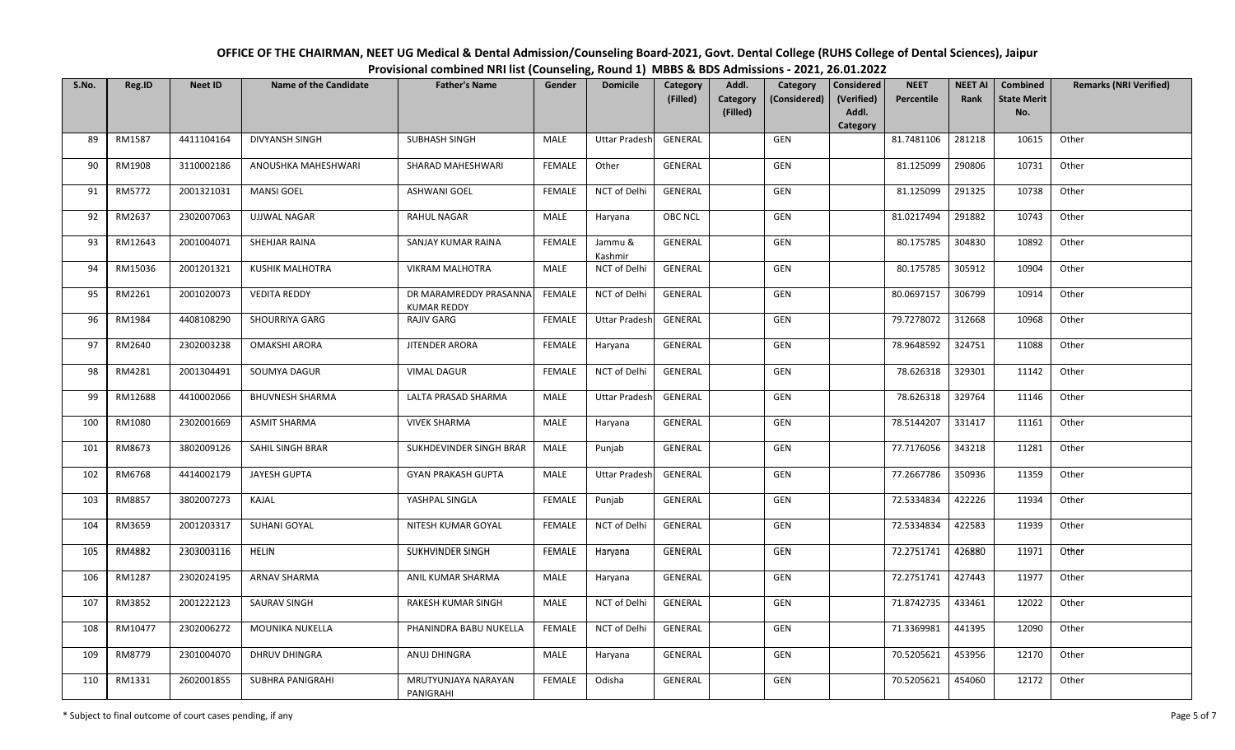| OFFICE OF THE CHAIRMAN, NEET UG Medical & Dental Admission/Counseling Board-2021, Govt. Dental College (RUHS College of Dental Sciences), Jaipur |
|--------------------------------------------------------------------------------------------------------------------------------------------------|
| Provisional combined NRI list (Counseling, Round 1) MBBS & BDS Admissions - 2021, 26.01.2022                                                     |

| S.No. | Reg.ID  | <b>Neet ID</b> | <b>Name of the Candidate</b> | <b>Father's Name</b>                         | Gender        | <b>Domicile</b>      | Category<br>(Filled) | Addl.<br>Category | Category<br>(Considered) | <b>Considered</b><br>(Verified) | <b>NEET</b><br>Percentile | <b>NEET AI</b><br>Rank | Combined<br><b>State Merit</b> | <b>Remarks (NRI Verified)</b> |
|-------|---------|----------------|------------------------------|----------------------------------------------|---------------|----------------------|----------------------|-------------------|--------------------------|---------------------------------|---------------------------|------------------------|--------------------------------|-------------------------------|
|       |         |                |                              |                                              |               |                      |                      | (Filled)          |                          | Addl.<br>Category               |                           |                        | No.                            |                               |
| 89    | RM1587  | 4411104164     | DIVYANSH SINGH               | <b>SUBHASH SINGH</b>                         | MALE          | <b>Uttar Pradesh</b> | <b>GENERAL</b>       |                   | GEN                      |                                 | 81.7481106                | 281218                 | 10615                          | Other                         |
| 90    | RM1908  | 3110002186     | ANOUSHKA MAHESHWARI          | SHARAD MAHESHWARI                            | <b>FEMALE</b> | Other                | GENERAL              |                   | GEN                      |                                 | 81.125099                 | 290806                 | 10731                          | Other                         |
| 91    | RM5772  | 2001321031     | <b>MANSI GOEL</b>            | <b>ASHWANI GOEL</b>                          | FEMALE        | NCT of Delhi         | GENERAL              |                   | <b>GEN</b>               |                                 | 81.125099                 | 291325                 | 10738                          | Other                         |
| 92    | RM2637  | 2302007063     | <b>UJJWAL NAGAR</b>          | <b>RAHUL NAGAR</b>                           | MALE          | Haryana              | OBC NCL              |                   | GEN                      |                                 | 81.0217494                | 291882                 | 10743                          | Other                         |
| 93    | RM12643 | 2001004071     | SHEHJAR RAINA                | SANJAY KUMAR RAINA                           | FEMALE        | Jammu &<br>Kashmir   | GENERAL              |                   | GEN                      |                                 | 80.175785                 | 304830                 | 10892                          | Other                         |
| 94    | RM15036 | 2001201321     | <b>KUSHIK MALHOTRA</b>       | <b>VIKRAM MALHOTRA</b>                       | MALE          | NCT of Delhi         | GENERAL              |                   | GEN                      |                                 | 80.175785                 | 305912                 | 10904                          | Other                         |
| 95    | RM2261  | 2001020073     | <b>VEDITA REDDY</b>          | DR MARAMREDDY PRASANNA<br><b>KUMAR REDDY</b> | FEMALE        | NCT of Delhi         | GENERAL              |                   | GEN                      |                                 | 80.0697157                | 306799                 | 10914                          | Other                         |
| 96    | RM1984  | 4408108290     | <b>SHOURRIYA GARG</b>        | <b>RAJIV GARG</b>                            | <b>FEMALE</b> | <b>Uttar Pradesh</b> | GENERAL              |                   | GEN                      |                                 | 79.7278072                | 312668                 | 10968                          | Other                         |
| 97    | RM2640  | 2302003238     | <b>OMAKSHI ARORA</b>         | <b>JITENDER ARORA</b>                        | <b>FEMALE</b> | Haryana              | <b>GENERAL</b>       |                   | GEN                      |                                 | 78.9648592                | 324751                 | 11088                          | Other                         |
| 98    | RM4281  | 2001304491     | <b>SOUMYA DAGUR</b>          | <b>VIMAL DAGUR</b>                           | <b>FEMALE</b> | NCT of Delhi         | GENERAL              |                   | GEN                      |                                 | 78.626318                 | 329301                 | 11142                          | Other                         |
| 99    | RM12688 | 4410002066     | <b>BHUVNESH SHARMA</b>       | LALTA PRASAD SHARMA                          | <b>MALE</b>   | <b>Uttar Pradesh</b> | GENERAL              |                   | GEN                      |                                 | 78.626318                 | 329764                 | 11146                          | Other                         |
| 100   | RM1080  | 2302001669     | <b>ASMIT SHARMA</b>          | <b>VIVEK SHARMA</b>                          | MALE          | Haryana              | <b>GENERAL</b>       |                   | GEN                      |                                 | 78.5144207                | 331417                 | 11161                          | Other                         |
| 101   | RM8673  | 3802009126     | SAHIL SINGH BRAR             | SUKHDEVINDER SINGH BRAR                      | MALE          | Punjab               | GENERAL              |                   | GEN                      |                                 | 77.7176056                | 343218                 | 11281                          | Other                         |
| 102   | RM6768  | 4414002179     | JAYESH GUPTA                 | <b>GYAN PRAKASH GUPTA</b>                    | <b>MALE</b>   | <b>Uttar Pradesh</b> | GENERAL              |                   | <b>GEN</b>               |                                 | 77.2667786                | 350936                 | 11359                          | Other                         |
| 103   | RM8857  | 3802007273     | KAJAL                        | YASHPAL SINGLA                               | FEMALE        | Punjab               | GENERAL              |                   | GEN                      |                                 | 72.5334834                | 422226                 | 11934                          | Other                         |
| 104   | RM3659  | 2001203317     | SUHANI GOYAL                 | NITESH KUMAR GOYAL                           | FEMALE        | NCT of Delhi         | GENERAL              |                   | GEN                      |                                 | 72.5334834                | 422583                 | 11939                          | Other                         |
| 105   | RM4882  | 2303003116     | HELIN                        | SUKHVINDER SINGH                             | FEMALE        | Haryana              | GENERAL              |                   | GEN                      |                                 | 72.2751741                | 426880                 | 11971                          | Other                         |
| 106   | RM1287  | 2302024195     | ARNAV SHARMA                 | ANIL KUMAR SHARMA                            | MALE          | Haryana              | GENERAL              |                   | GEN                      |                                 | 72.2751741                | 427443                 | 11977                          | Other                         |
| 107   | RM3852  | 2001222123     | <b>SAURAV SINGH</b>          | RAKESH KUMAR SINGH                           | <b>MALE</b>   | NCT of Delhi         | GENERAL              |                   | GEN                      |                                 | 71.8742735                | 433461                 | 12022                          | Other                         |
| 108   | RM10477 | 2302006272     | MOUNIKA NUKELLA              | PHANINDRA BABU NUKELLA                       | <b>FEMALE</b> | NCT of Delhi         | GENERAL              |                   | GEN                      |                                 | 71.3369981                | 441395                 | 12090                          | Other                         |
| 109   | RM8779  | 2301004070     | DHRUV DHINGRA                | ANUJ DHINGRA                                 | MALE          | Haryana              | GENERAL              |                   | GEN                      |                                 | 70.5205621                | 453956                 | 12170                          | Other                         |
| 110   | RM1331  | 2602001855     | SUBHRA PANIGRAHI             | MRUTYUNJAYA NARAYAN<br>PANIGRAHI             | <b>FEMALE</b> | Odisha               | <b>GENERAL</b>       |                   | GEN                      |                                 | 70.5205621                | 454060                 | 12172                          | Other                         |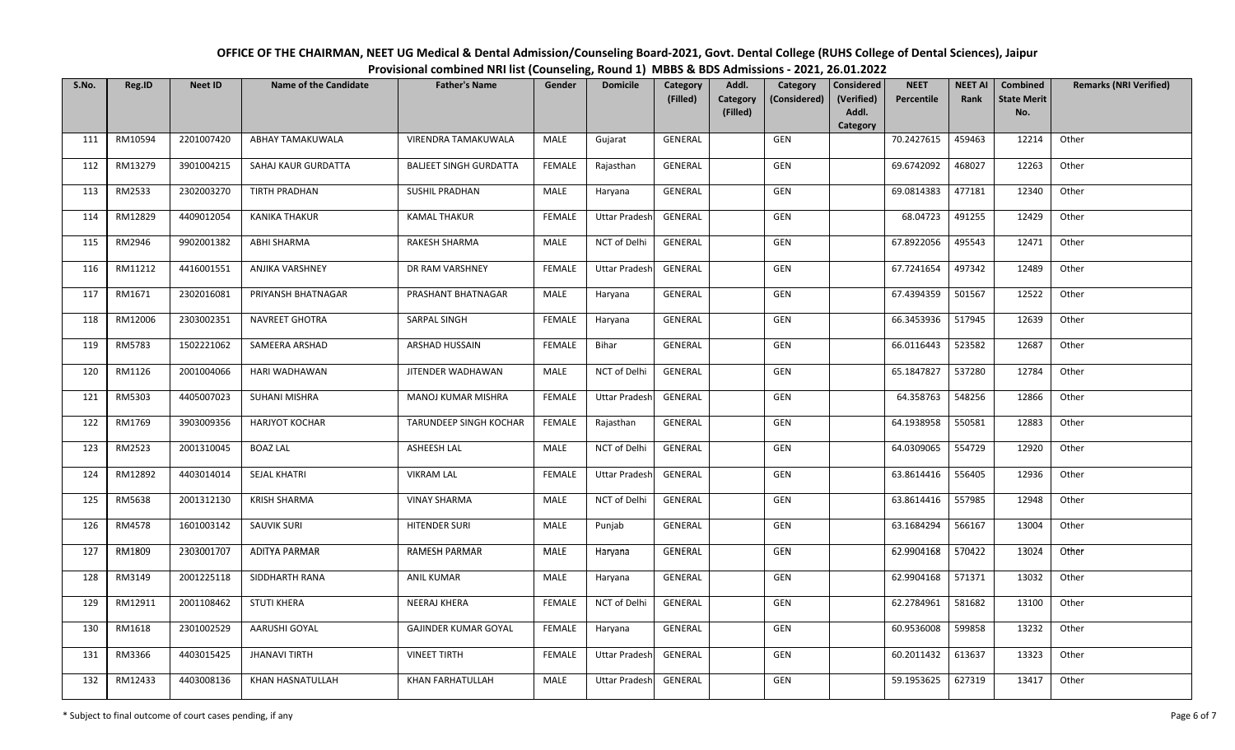| OFFICE OF THE CHAIRMAN, NEET UG Medical & Dental Admission/Counseling Board-2021, Govt. Dental College (RUHS College of Dental Sciences), Jaipur |
|--------------------------------------------------------------------------------------------------------------------------------------------------|
| Provisional combined NRI list (Counseling, Round 1) MBBS & BDS Admissions - 2021, 26.01.2022                                                     |

| S.No. | Reg.ID  | <b>Neet ID</b> | <b>Name of the Candidate</b> | <b>Father's Name</b>          | Gender        | <b>Domicile</b>      | Category<br>(Filled) | Addl.<br>Category | Category<br>(Considered) | <b>Considered</b><br>(Verified) | <b>NEET</b><br>Percentile | <b>NEET AI</b><br>Rank | <b>Combined</b><br><b>State Merit</b> | <b>Remarks (NRI Verified)</b> |
|-------|---------|----------------|------------------------------|-------------------------------|---------------|----------------------|----------------------|-------------------|--------------------------|---------------------------------|---------------------------|------------------------|---------------------------------------|-------------------------------|
|       |         |                |                              |                               |               |                      |                      | (Filled)          |                          | Addl.<br>Category               |                           |                        | No.                                   |                               |
| 111   | RM10594 | 2201007420     | ABHAY TAMAKUWALA             | VIRENDRA TAMAKUWALA           | MALE          | Gujarat              | <b>GENERAL</b>       |                   | <b>GEN</b>               |                                 | 70.2427615                | 459463                 | 12214                                 | Other                         |
| 112   | RM13279 | 3901004215     | SAHAJ KAUR GURDATTA          | <b>BALJEET SINGH GURDATTA</b> | <b>FEMALE</b> | Rajasthan            | GENERAL              |                   | GEN                      |                                 | 69.6742092                | 468027                 | 12263                                 | Other                         |
| 113   | RM2533  | 2302003270     | <b>TIRTH PRADHAN</b>         | <b>SUSHIL PRADHAN</b>         | MALE          | Haryana              | GENERAL              |                   | GEN                      |                                 | 69.0814383                | 477181                 | 12340                                 | Other                         |
| 114   | RM12829 | 4409012054     | KANIKA THAKUR                | <b>KAMAL THAKUR</b>           | <b>FEMALE</b> | <b>Uttar Pradesh</b> | GENERAL              |                   | GEN                      |                                 | 68.04723                  | 491255                 | 12429                                 | Other                         |
| 115   | RM2946  | 9902001382     | ABHI SHARMA                  | RAKESH SHARMA                 | MALE          | NCT of Delhi         | GENERAL              |                   | GEN                      |                                 | 67.8922056                | 495543                 | 12471                                 | Other                         |
| 116   | RM11212 | 4416001551     | <b>ANJIKA VARSHNEY</b>       | DR RAM VARSHNEY               | <b>FEMALE</b> | <b>Uttar Pradesh</b> | GENERAL              |                   | GEN                      |                                 | 67.7241654                | 497342                 | 12489                                 | Other                         |
| 117   | RM1671  | 2302016081     | PRIYANSH BHATNAGAR           | PRASHANT BHATNAGAR            | MALE          | Haryana              | <b>GENERAL</b>       |                   | GEN                      |                                 | 67.4394359                | 501567                 | 12522                                 | Other                         |
| 118   | RM12006 | 2303002351     | <b>NAVREET GHOTRA</b>        | SARPAL SINGH                  | <b>FEMALE</b> | Haryana              | GENERAL              |                   | GEN                      |                                 | 66.3453936                | 517945                 | 12639                                 | Other                         |
| 119   | RM5783  | 1502221062     | SAMEERA ARSHAD               | ARSHAD HUSSAIN                | <b>FEMALE</b> | Bihar                | GENERAL              |                   | GEN                      |                                 | 66.0116443                | 523582                 | 12687                                 | Other                         |
| 120   | RM1126  | 2001004066     | HARI WADHAWAN                | JITENDER WADHAWAN             | MALE          | NCT of Delhi         | GENERAL              |                   | GEN                      |                                 | 65.1847827                | 537280                 | 12784                                 | Other                         |
| 121   | RM5303  | 4405007023     | <b>SUHANI MISHRA</b>         | MANOJ KUMAR MISHRA            | <b>FEMALE</b> | <b>Uttar Pradesh</b> | <b>GENERAL</b>       |                   | <b>GEN</b>               |                                 | 64.358763                 | 548256                 | 12866                                 | Other                         |
| 122   | RM1769  | 3903009356     | <b>HARJYOT KOCHAR</b>        | TARUNDEEP SINGH KOCHAR        | <b>FEMALE</b> | Rajasthan            | GENERAL              |                   | GEN                      |                                 | 64.1938958                | 550581                 | 12883                                 | Other                         |
| 123   | RM2523  | 2001310045     | <b>BOAZ LAL</b>              | ASHEESH LAL                   | MALE          | NCT of Delhi         | <b>GENERAL</b>       |                   | GEN                      |                                 | 64.0309065                | 554729                 | 12920                                 | Other                         |
| 124   | RM12892 | 4403014014     | <b>SEJAL KHATRI</b>          | <b>VIKRAM LAL</b>             | <b>FEMALE</b> | <b>Uttar Pradesh</b> | GENERAL              |                   | GEN                      |                                 | 63.8614416                | 556405                 | 12936                                 | Other                         |
| 125   | RM5638  | 2001312130     | <b>KRISH SHARMA</b>          | <b>VINAY SHARMA</b>           | MALE          | NCT of Delhi         | GENERAL              |                   | GEN                      |                                 | 63.8614416                | 557985                 | 12948                                 | Other                         |
| 126   | RM4578  | 1601003142     | <b>SAUVIK SURI</b>           | <b>HITENDER SURI</b>          | MALE          | Punjab               | GENERAL              |                   | GEN                      |                                 | 63.1684294                | 566167                 | 13004                                 | Other                         |
| 127   | RM1809  | 2303001707     | <b>ADITYA PARMAR</b>         | RAMESH PARMAR                 | MALE          | Haryana              | GENERAL              |                   | GEN                      |                                 | 62.9904168                | 570422                 | 13024                                 | Other                         |
| 128   | RM3149  | 2001225118     | SIDDHARTH RANA               | <b>ANIL KUMAR</b>             | MALE          | Haryana              | GENERAL              |                   | GEN                      |                                 | 62.9904168                | 571371                 | 13032                                 | Other                         |
| 129   | RM12911 | 2001108462     | <b>STUTI KHERA</b>           | <b>NEERAJ KHERA</b>           | <b>FEMALE</b> | NCT of Delhi         | <b>GENERAL</b>       |                   | GEN                      |                                 | 62.2784961                | 581682                 | 13100                                 | Other                         |
| 130   | RM1618  | 2301002529     | AARUSHI GOYAL                | GAJINDER KUMAR GOYAL          | <b>FEMALE</b> | Haryana              | GENERAL              |                   | GEN                      |                                 | 60.9536008                | 599858                 | 13232                                 | Other                         |
| 131   | RM3366  | 4403015425     | <b>JHANAVI TIRTH</b>         | <b>VINEET TIRTH</b>           | <b>FEMALE</b> | <b>Uttar Pradesh</b> | <b>GENERAL</b>       |                   | GEN                      |                                 | 60.2011432                | 613637                 | 13323                                 | Other                         |
| 132   | RM12433 | 4403008136     | KHAN HASNATULLAH             | <b>KHAN FARHATULLAH</b>       | MALE          | <b>Uttar Pradesh</b> | GENERAL              |                   | <b>GEN</b>               |                                 | 59.1953625                | 627319                 | 13417                                 | Other                         |